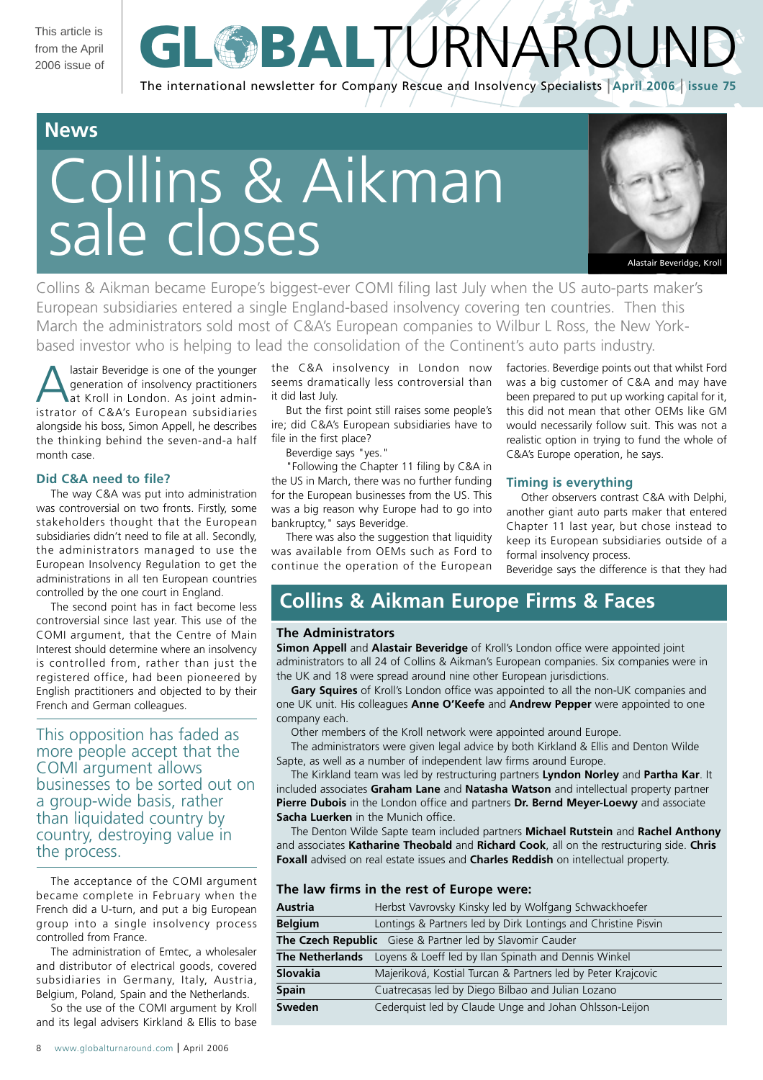This article is from the April 2006 issue of

# **GL BALTURNAROUN** The international newsletter for Company Rescue and Insolvency Specialists | **April 2006** | **issue 75**

# **News**

# Collins & Aikman sale closes



Collins & Aikman became Europe's biggest-ever COMI filing last July when the US auto-parts maker's European subsidiaries entered a single England-based insolvency covering ten countries. Then this March the administrators sold most of C&A's European companies to Wilbur L Ross, the New Yorkbased investor who is helping to lead the consolidation of the Continent's auto parts industry.

lastair Beveridge is one of the younger generation of insolvency practitioners at Kroll in London. As joint administrator of C&A's European subsidiaries alongside his boss, Simon Appell, he describes the thinking behind the seven-and-a half month case.

# **Did C&A need to file?**

The way C&A was put into administration was controversial on two fronts. Firstly, some stakeholders thought that the European subsidiaries didn't need to file at all. Secondly, the administrators managed to use the European Insolvency Regulation to get the administrations in all ten European countries controlled by the one court in England.

The second point has in fact become less controversial since last year. This use of the COMI argument, that the Centre of Main Interest should determine where an insolvency is controlled from, rather than just the registered office, had been pioneered by English practitioners and objected to by their French and German colleagues.

This opposition has faded as more people accept that the COMI argument allows businesses to be sorted out on a group-wide basis, rather than liquidated country by country, destroying value in the process.

The acceptance of the COMI argument became complete in February when the French did a U-turn, and put a big European group into a single insolvency process controlled from France.

The administration of Emtec, a wholesaler and distributor of electrical goods, covered subsidiaries in Germany, Italy, Austria, Belgium, Poland, Spain and the Netherlands.

So the use of the COMI argument by Kroll and its legal advisers Kirkland & Ellis to base the C&A insolvency in London now seems dramatically less controversial than it did last July.

But the first point still raises some people's ire; did C&A's European subsidiaries have to file in the first place?

Beverdige says "yes."

"Following the Chapter 11 filing by C&A in the US in March, there was no further funding for the European businesses from the US. This was a big reason why Europe had to go into bankruptcy," says Beveridge.

There was also the suggestion that liquidity was available from OEMs such as Ford to continue the operation of the European factories. Beverdige points out that whilst Ford was a big customer of C&A and may have been prepared to put up working capital for it, this did not mean that other OEMs like GM would necessarily follow suit. This was not a realistic option in trying to fund the whole of C&A's Europe operation, he says.

# **Timing is everything**

Other observers contrast C&A with Delphi, another giant auto parts maker that entered Chapter 11 last year, but chose instead to keep its European subsidiaries outside of a formal insolvency process.

Beveridge says the difference is that they had

# **Collins & Aikman Europe Firms & Faces**

# **The Administrators**

**Simon Appell** and **Alastair Beveridge** of Kroll's London office were appointed joint administrators to all 24 of Collins & Aikman's European companies. Six companies were in the UK and 18 were spread around nine other European jurisdictions.

**Gary Squires** of Kroll's London office was appointed to all the non-UK companies and one UK unit. His colleagues **Anne O'Keefe** and **Andrew Pepper** were appointed to one company each.

Other members of the Kroll network were appointed around Europe.

The administrators were given legal advice by both Kirkland & Ellis and Denton Wilde Sapte, as well as a number of independent law firms around Europe.

The Kirkland team was led by restructuring partners **Lyndon Norley** and **Partha Kar**. It included associates **Graham Lane** and **Natasha Watson** and intellectual property partner **Pierre Dubois** in the London office and partners **Dr. Bernd Meyer-Loewy** and associate **Sacha Luerken** in the Munich office.

The Denton Wilde Sapte team included partners **Michael Rutstein** and **Rachel Anthony** and associates **Katharine Theobald** and **Richard Cook**, all on the restructuring side. **Chris Foxall** advised on real estate issues and **Charles Reddish** on intellectual property.

|  |  | The law firms in the rest of Europe were: |
|--|--|-------------------------------------------|
|--|--|-------------------------------------------|

| <b>Austria</b>                                            | Herbst Vavrovsky Kinsky led by Wolfgang Schwackhoefer         |  |
|-----------------------------------------------------------|---------------------------------------------------------------|--|
| <b>Belgium</b>                                            | Lontings & Partners led by Dirk Lontings and Christine Pisvin |  |
| The Czech Republic Giese & Partner led by Slavomir Cauder |                                                               |  |
| <b>The Netherlands</b>                                    | Loyens & Loeff led by Ilan Spinath and Dennis Winkel          |  |
| Slovakia                                                  | Majeriková, Kostial Turcan & Partners led by Peter Krajcovic  |  |
| <b>Spain</b>                                              | Cuatrecasas led by Diego Bilbao and Julian Lozano             |  |
| Sweden                                                    | Cederquist led by Claude Unge and Johan Ohlsson-Leijon        |  |